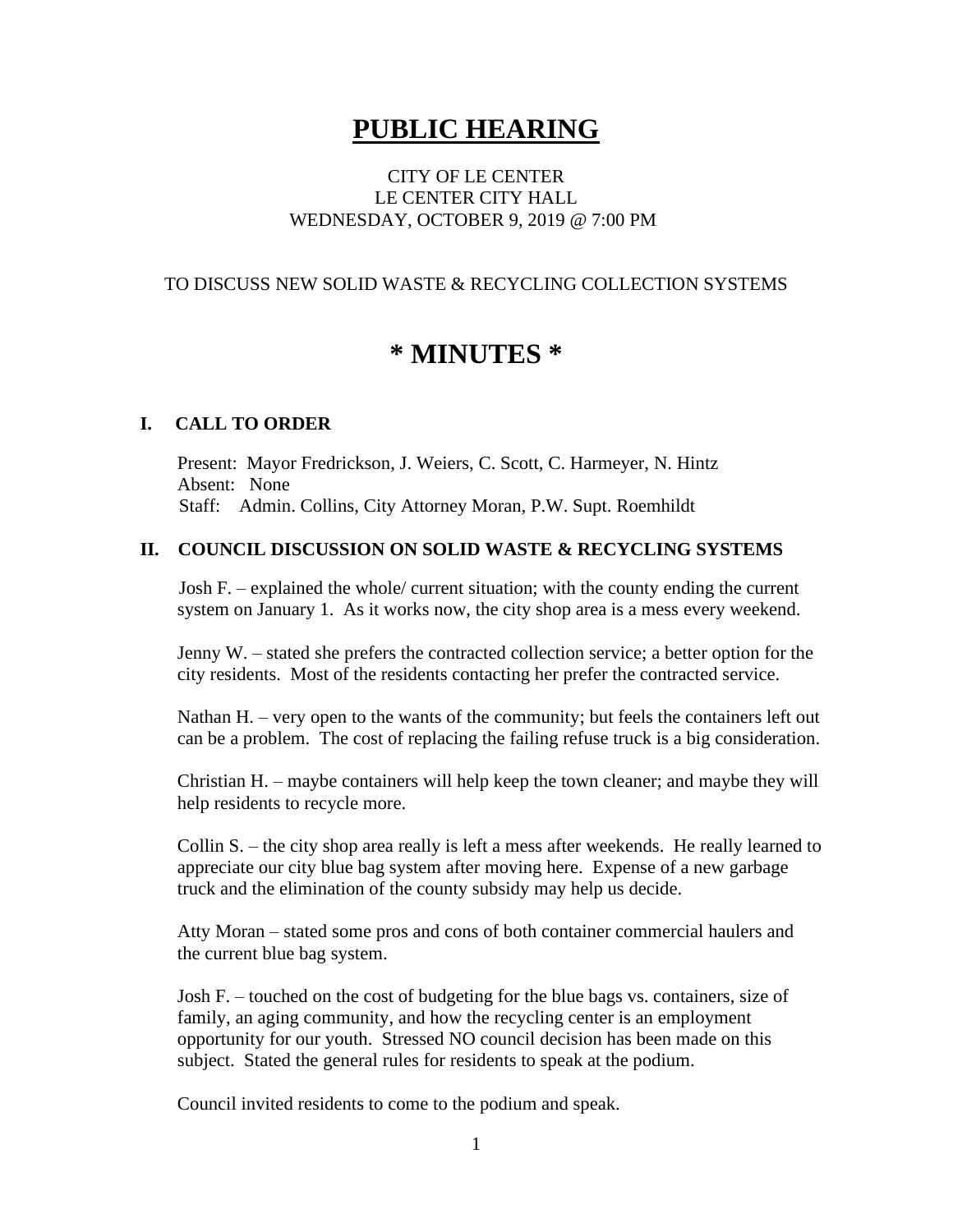# **PUBLIC HEARING**

## CITY OF LE CENTER LE CENTER CITY HALL WEDNESDAY, OCTOBER 9, 2019 @ 7:00 PM

## TO DISCUSS NEW SOLID WASTE & RECYCLING COLLECTION SYSTEMS

# **\* MINUTES \***

### **I. CALL TO ORDER**

Present: Mayor Fredrickson, J. Weiers, C. Scott, C. Harmeyer, N. Hintz Absent: None Staff: Admin. Collins, City Attorney Moran, P.W. Supt. Roemhildt

### **II. COUNCIL DISCUSSION ON SOLID WASTE & RECYCLING SYSTEMS**

Josh F. – explained the whole/ current situation; with the county ending the current system on January 1. As it works now, the city shop area is a mess every weekend.

 Jenny W. – stated she prefers the contracted collection service; a better option for the city residents. Most of the residents contacting her prefer the contracted service.

 Nathan H. – very open to the wants of the community; but feels the containers left out can be a problem. The cost of replacing the failing refuse truck is a big consideration.

 Christian H. – maybe containers will help keep the town cleaner; and maybe they will help residents to recycle more.

 Collin S. – the city shop area really is left a mess after weekends. He really learned to appreciate our city blue bag system after moving here. Expense of a new garbage truck and the elimination of the county subsidy may help us decide.

 Atty Moran – stated some pros and cons of both container commercial haulers and the current blue bag system.

 Josh F. – touched on the cost of budgeting for the blue bags vs. containers, size of family, an aging community, and how the recycling center is an employment opportunity for our youth. Stressed NO council decision has been made on this subject. Stated the general rules for residents to speak at the podium.

Council invited residents to come to the podium and speak.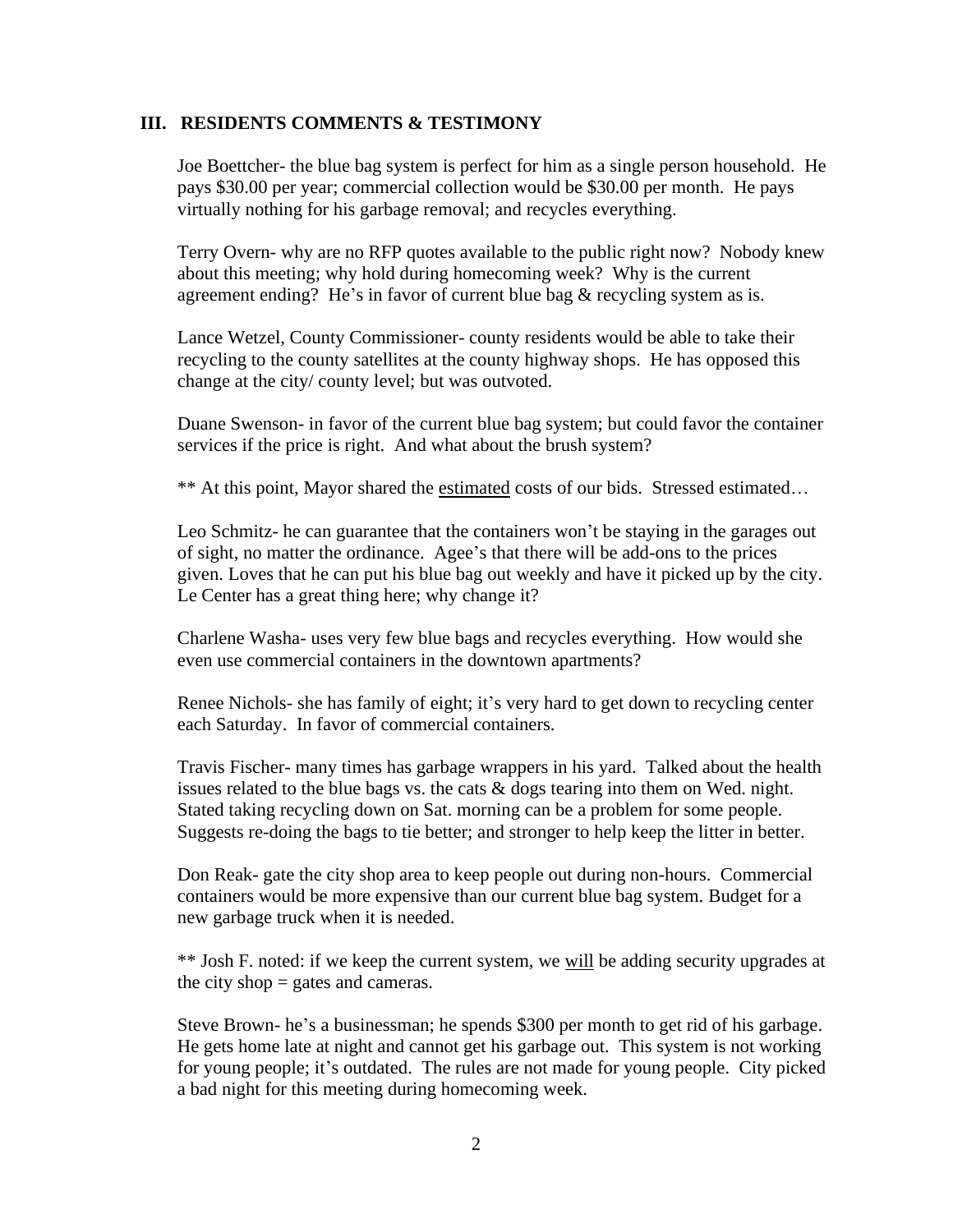#### **III. RESIDENTS COMMENTS & TESTIMONY**

Joe Boettcher- the blue bag system is perfect for him as a single person household. He pays \$30.00 per year; commercial collection would be \$30.00 per month. He pays virtually nothing for his garbage removal; and recycles everything.

 Terry Overn- why are no RFP quotes available to the public right now? Nobody knew about this meeting; why hold during homecoming week? Why is the current agreement ending? He's in favor of current blue bag & recycling system as is.

 Lance Wetzel, County Commissioner- county residents would be able to take their recycling to the county satellites at the county highway shops. He has opposed this change at the city/ county level; but was outvoted.

 Duane Swenson- in favor of the current blue bag system; but could favor the container services if the price is right. And what about the brush system?

\*\* At this point, Mayor shared the estimated costs of our bids. Stressed estimated…

 Leo Schmitz- he can guarantee that the containers won't be staying in the garages out of sight, no matter the ordinance. Agee's that there will be add-ons to the prices given. Loves that he can put his blue bag out weekly and have it picked up by the city. Le Center has a great thing here; why change it?

 Charlene Washa- uses very few blue bags and recycles everything. How would she even use commercial containers in the downtown apartments?

 Renee Nichols- she has family of eight; it's very hard to get down to recycling center each Saturday. In favor of commercial containers.

 Travis Fischer- many times has garbage wrappers in his yard. Talked about the health issues related to the blue bags vs. the cats  $\&$  dogs tearing into them on Wed. night. Stated taking recycling down on Sat. morning can be a problem for some people. Suggests re-doing the bags to tie better; and stronger to help keep the litter in better.

 Don Reak- gate the city shop area to keep people out during non-hours. Commercial containers would be more expensive than our current blue bag system. Budget for a new garbage truck when it is needed.

\*\* Josh F. noted: if we keep the current system, we will be adding security upgrades at the city shop  $=$  gates and cameras.

 Steve Brown- he's a businessman; he spends \$300 per month to get rid of his garbage. He gets home late at night and cannot get his garbage out. This system is not working for young people; it's outdated. The rules are not made for young people. City picked a bad night for this meeting during homecoming week.